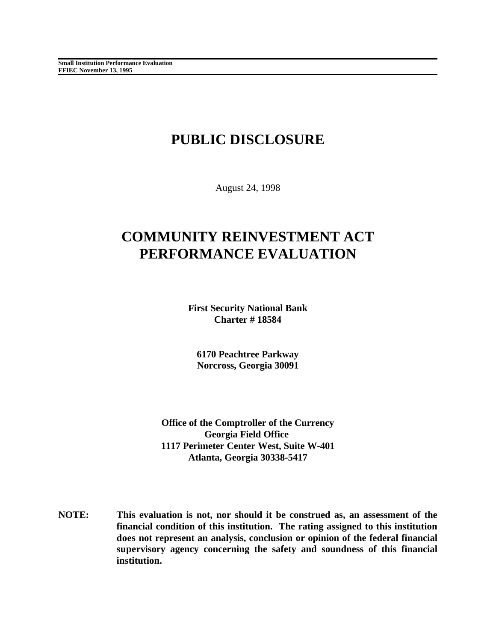# **PUBLIC DISCLOSURE**

August 24, 1998

# **COMMUNITY REINVESTMENT ACT PERFORMANCE EVALUATION**

**First Security National Bank Charter # 18584**

**6170 Peachtree Parkway Norcross, Georgia 30091**

**Office of the Comptroller of the Currency Georgia Field Office 1117 Perimeter Center West, Suite W-401 Atlanta, Georgia 30338-5417**

**NOTE: This evaluation is not, nor should it be construed as, an assessment of the financial condition of this institution. The rating assigned to this institution does not represent an analysis, conclusion or opinion of the federal financial supervisory agency concerning the safety and soundness of this financial institution.**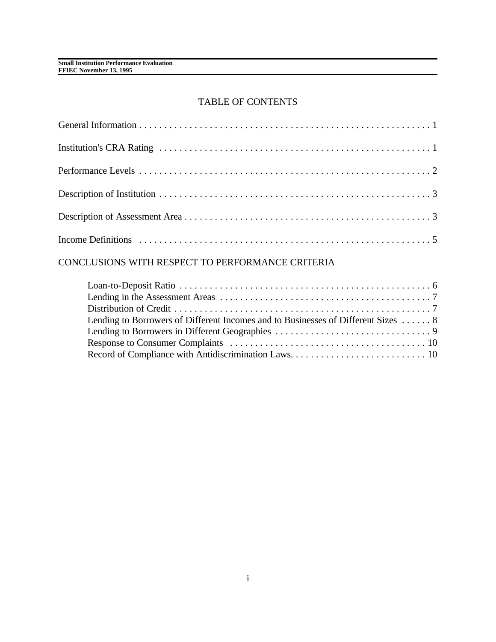### TABLE OF CONTENTS

# CONCLUSIONS WITH RESPECT TO PERFORMANCE CRITERIA

| Lending to Borrowers of Different Incomes and to Businesses of Different Sizes  8 |  |
|-----------------------------------------------------------------------------------|--|
|                                                                                   |  |
|                                                                                   |  |
|                                                                                   |  |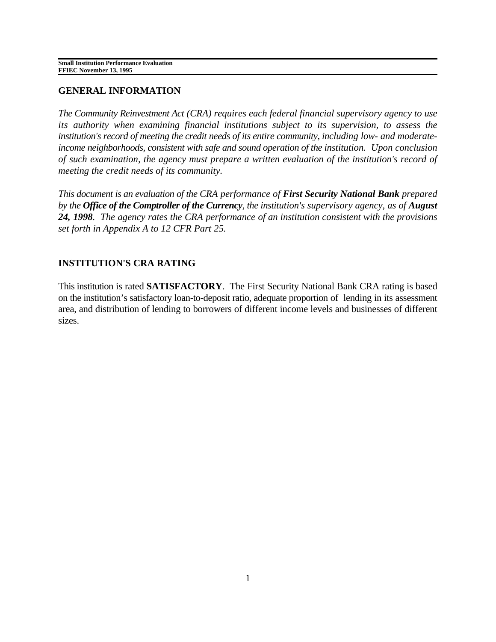# **GENERAL INFORMATION**

*The Community Reinvestment Act (CRA) requires each federal financial supervisory agency to use its authority when examining financial institutions subject to its supervision, to assess the institution's record of meeting the credit needs of its entire community, including low- and moderateincome neighborhoods, consistent with safe and sound operation of the institution. Upon conclusion of such examination, the agency must prepare a written evaluation of the institution's record of meeting the credit needs of its community.* 

*This document is an evaluation of the CRA performance of First Security National Bank prepared by the Office of the Comptroller of the Currency, the institution's supervisory agency, as of August 24, 1998. The agency rates the CRA performance of an institution consistent with the provisions set forth in Appendix A to 12 CFR Part 25.* 

# **INSTITUTION'S CRA RATING**

This institution is rated **SATISFACTORY**. The First Security National Bank CRA rating is based on the institution's satisfactory loan-to-deposit ratio, adequate proportion of lending in its assessment area, and distribution of lending to borrowers of different income levels and businesses of different sizes.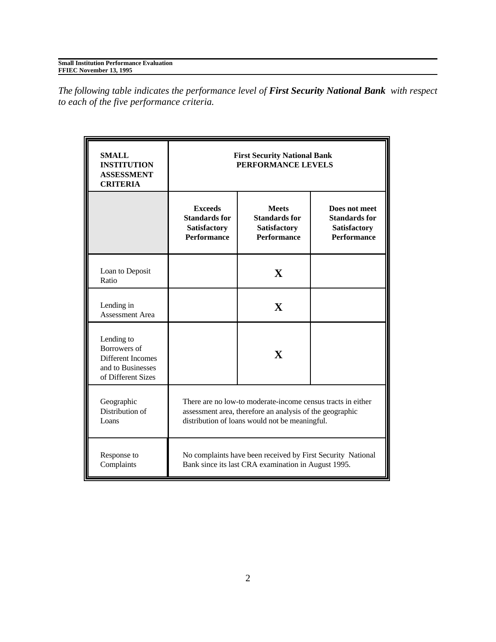| <b>Small Institution Performance Evaluation</b> |  |
|-------------------------------------------------|--|
| <b>FFIEC November 13, 1995</b>                  |  |

*The following table indicates the performance level of First Security National Bank with respect to each of the five performance criteria.*

| <b>SMALL</b><br><b>INSTITUTION</b><br><b>ASSESSMENT</b><br><b>CRITERIA</b>                 | <b>First Security National Bank</b><br>PERFORMANCE LEVELS                                                                                                                 |                                                                            |                                                                                    |
|--------------------------------------------------------------------------------------------|---------------------------------------------------------------------------------------------------------------------------------------------------------------------------|----------------------------------------------------------------------------|------------------------------------------------------------------------------------|
|                                                                                            | <b>Exceeds</b><br><b>Standards for</b><br>Satisfactory<br><b>Performance</b>                                                                                              | <b>Meets</b><br><b>Standards for</b><br>Satisfactory<br><b>Performance</b> | Does not meet<br><b>Standards for</b><br><b>Satisfactory</b><br><b>Performance</b> |
| Loan to Deposit<br>Ratio                                                                   |                                                                                                                                                                           | $\mathbf{X}$                                                               |                                                                                    |
| Lending in<br>Assessment Area                                                              |                                                                                                                                                                           | X                                                                          |                                                                                    |
| Lending to<br>Borrowers of<br>Different Incomes<br>and to Businesses<br>of Different Sizes |                                                                                                                                                                           | $\mathbf{X}$                                                               |                                                                                    |
| Geographic<br>Distribution of<br>Loans                                                     | There are no low-to moderate-income census tracts in either<br>assessment area, therefore an analysis of the geographic<br>distribution of loans would not be meaningful. |                                                                            |                                                                                    |
| Response to<br>Complaints                                                                  | No complaints have been received by First Security National<br>Bank since its last CRA examination in August 1995.                                                        |                                                                            |                                                                                    |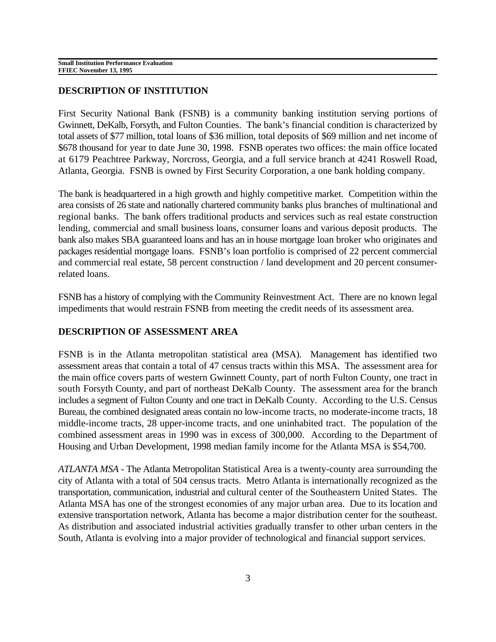## **DESCRIPTION OF INSTITUTION**

First Security National Bank (FSNB) is a community banking institution serving portions of Gwinnett, DeKalb, Forsyth, and Fulton Counties. The bank's financial condition is characterized by total assets of \$77 million, total loans of \$36 million, total deposits of \$69 million and net income of \$678 thousand for year to date June 30, 1998. FSNB operates two offices: the main office located at 6179 Peachtree Parkway, Norcross, Georgia, and a full service branch at 4241 Roswell Road, Atlanta, Georgia. FSNB is owned by First Security Corporation, a one bank holding company.

The bank is headquartered in a high growth and highly competitive market. Competition within the area consists of 26 state and nationally chartered community banks plus branches of multinational and regional banks. The bank offers traditional products and services such as real estate construction lending, commercial and small business loans, consumer loans and various deposit products. The bank also makes SBA guaranteed loans and has an in house mortgage loan broker who originates and packages residential mortgage loans. FSNB's loan portfolio is comprised of 22 percent commercial and commercial real estate, 58 percent construction / land development and 20 percent consumerrelated loans.

FSNB has a history of complying with the Community Reinvestment Act. There are no known legal impediments that would restrain FSNB from meeting the credit needs of its assessment area.

# **DESCRIPTION OF ASSESSMENT AREA**

FSNB is in the Atlanta metropolitan statistical area (MSA). Management has identified two assessment areas that contain a total of 47 census tracts within this MSA. The assessment area for the main office covers parts of western Gwinnett County, part of north Fulton County, one tract in south Forsyth County, and part of northeast DeKalb County. The assessment area for the branch includes a segment of Fulton County and one tract in DeKalb County. According to the U.S. Census Bureau, the combined designated areas contain no low-income tracts, no moderate-income tracts, 18 middle-income tracts, 28 upper-income tracts, and one uninhabited tract. The population of the combined assessment areas in 1990 was in excess of 300,000. According to the Department of Housing and Urban Development, 1998 median family income for the Atlanta MSA is \$54,700.

*ATLANTA MSA -* The Atlanta Metropolitan Statistical Area is a twenty-county area surrounding the city of Atlanta with a total of 504 census tracts. Metro Atlanta is internationally recognized as the transportation, communication, industrial and cultural center of the Southeastern United States. The Atlanta MSA has one of the strongest economies of any major urban area. Due to its location and extensive transportation network, Atlanta has become a major distribution center for the southeast. As distribution and associated industrial activities gradually transfer to other urban centers in the South, Atlanta is evolving into a major provider of technological and financial support services.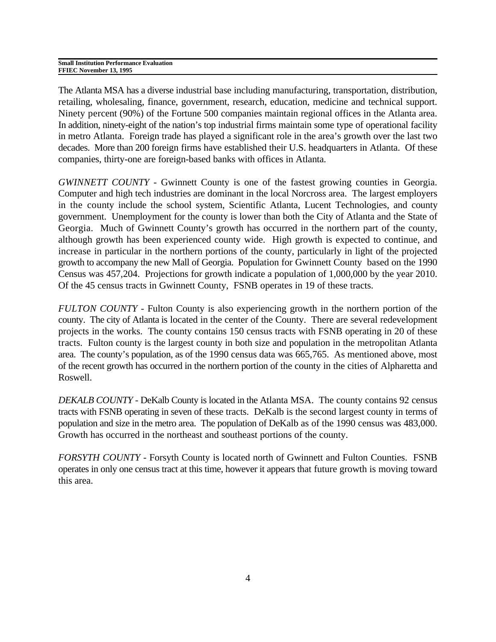| <b>Small Institution Performance Evaluation</b> |
|-------------------------------------------------|
| FFIEC November 13, 1995                         |

The Atlanta MSA has a diverse industrial base including manufacturing, transportation, distribution, retailing, wholesaling, finance, government, research, education, medicine and technical support. Ninety percent (90%) of the Fortune 500 companies maintain regional offices in the Atlanta area. In addition, ninety-eight of the nation's top industrial firms maintain some type of operational facility in metro Atlanta. Foreign trade has played a significant role in the area's growth over the last two decades. More than 200 foreign firms have established their U.S. headquarters in Atlanta. Of these companies, thirty-one are foreign-based banks with offices in Atlanta.

*GWINNETT COUNTY* - Gwinnett County is one of the fastest growing counties in Georgia. Computer and high tech industries are dominant in the local Norcross area. The largest employers in the county include the school system, Scientific Atlanta, Lucent Technologies, and county government. Unemployment for the county is lower than both the City of Atlanta and the State of Georgia. Much of Gwinnett County's growth has occurred in the northern part of the county, although growth has been experienced county wide. High growth is expected to continue, and increase in particular in the northern portions of the county, particularly in light of the projected growth to accompany the new Mall of Georgia. Population for Gwinnett County based on the 1990 Census was 457,204. Projections for growth indicate a population of 1,000,000 by the year 2010. Of the 45 census tracts in Gwinnett County, FSNB operates in 19 of these tracts.

*FULTON COUNTY* - Fulton County is also experiencing growth in the northern portion of the county. The city of Atlanta is located in the center of the County. There are several redevelopment projects in the works. The county contains 150 census tracts with FSNB operating in 20 of these tracts. Fulton county is the largest county in both size and population in the metropolitan Atlanta area. The county's population, as of the 1990 census data was 665,765. As mentioned above, most of the recent growth has occurred in the northern portion of the county in the cities of Alpharetta and Roswell.

*DEKALB COUNTY -* DeKalb County is located in the Atlanta MSA. The county contains 92 census tracts with FSNB operating in seven of these tracts. DeKalb is the second largest county in terms of population and size in the metro area. The population of DeKalb as of the 1990 census was 483,000. Growth has occurred in the northeast and southeast portions of the county.

*FORSYTH COUNTY* - Forsyth County is located north of Gwinnett and Fulton Counties. FSNB operates in only one census tract at this time, however it appears that future growth is moving toward this area.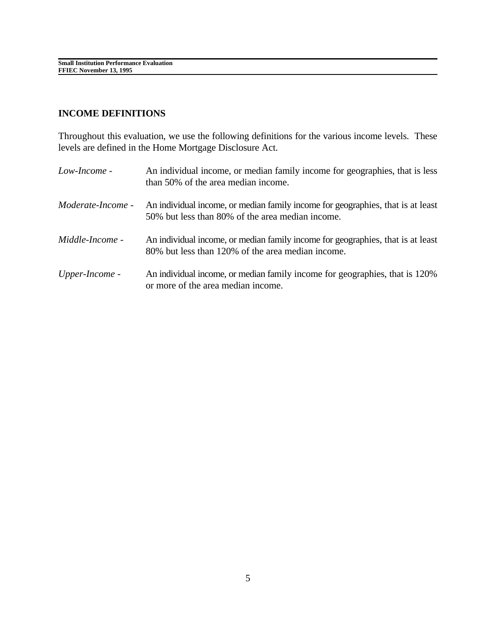# **INCOME DEFINITIONS**

Throughout this evaluation, we use the following definitions for the various income levels. These levels are defined in the Home Mortgage Disclosure Act.

| Low-Income -             | An individual income, or median family income for geographies, that is less<br>than 50% of the area median income.                   |
|--------------------------|--------------------------------------------------------------------------------------------------------------------------------------|
| <i>Moderate-Income -</i> | An individual income, or median family income for geographies, that is at least<br>50% but less than 80% of the area median income.  |
| <i>Middle-Income -</i>   | An individual income, or median family income for geographies, that is at least<br>80% but less than 120% of the area median income. |
| Upper-Income -           | An individual income, or median family income for geographies, that is 120%<br>or more of the area median income.                    |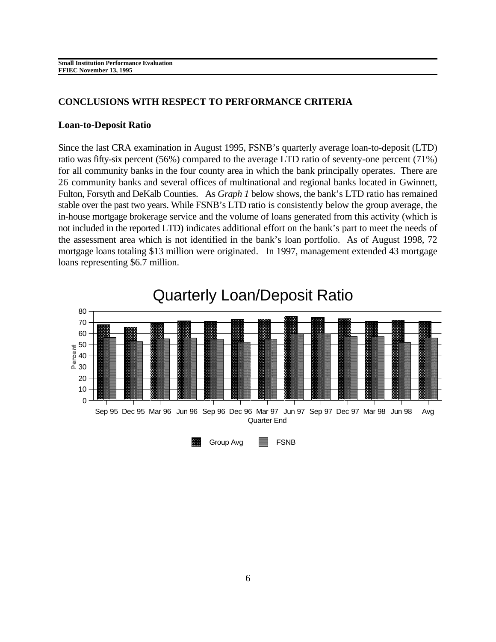## **CONCLUSIONS WITH RESPECT TO PERFORMANCE CRITERIA**

#### **Loan-to-Deposit Ratio**

Since the last CRA examination in August 1995, FSNB's quarterly average loan-to-deposit (LTD) ratio was fifty-six percent (56%) compared to the average LTD ratio of seventy-one percent (71%) for all community banks in the four county area in which the bank principally operates. There are 26 community banks and several offices of multinational and regional banks located in Gwinnett, Fulton, Forsyth and DeKalb Counties. As *Graph 1* below shows, the bank's LTD ratio has remained stable over the past two years. While FSNB's LTD ratio is consistently below the group average, the in-house mortgage brokerage service and the volume of loans generated from this activity (which is not included in the reported LTD) indicates additional effort on the bank's part to meet the needs of the assessment area which is not identified in the bank's loan portfolio. As of August 1998, 72 mortgage loans totaling \$13 million were originated. In 1997, management extended 43 mortgage loans representing \$6.7 million.

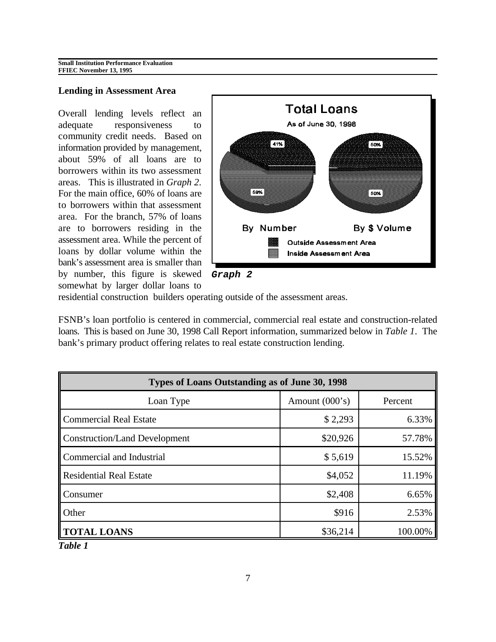#### **Lending in Assessment Area**

Overall lending levels reflect an adequate responsiveness to community credit needs. Based on information provided by management, about 59% of all loans are to borrowers within its two assessment areas. This is illustrated in *Graph 2*. For the main office, 60% of loans are to borrowers within that assessment area. For the branch, 57% of loans are to borrowers residing in the assessment area. While the percent of loans by dollar volume within the bank's assessment area is smaller than by number, this figure is skewed somewhat by larger dollar loans to



residential construction builders operating outside of the assessment areas.

FSNB's loan portfolio is centered in commercial, commercial real estate and construction-related loans. This is based on June 30, 1998 Call Report information, summarized below in *Table 1*. The bank's primary product offering relates to real estate construction lending.

| Types of Loans Outstanding as of June 30, 1998 |                  |         |  |
|------------------------------------------------|------------------|---------|--|
| Loan Type                                      | Amount $(000's)$ | Percent |  |
| Commercial Real Estate                         | \$2,293          | 6.33%   |  |
| Construction/Land Development                  | \$20,926         | 57.78%  |  |
| Commercial and Industrial                      | \$5,619          | 15.52%  |  |
| Residential Real Estate                        | \$4,052          | 11.19%  |  |
| Consumer                                       | \$2,408          | 6.65%   |  |
| <b>Other</b>                                   | \$916            | 2.53%   |  |
| <b>TOTAL LOANS</b>                             | \$36,214         | 100.00% |  |

*Table 1*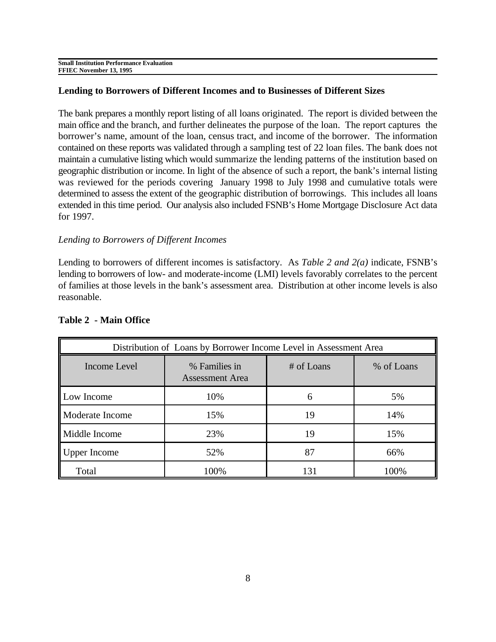## **Lending to Borrowers of Different Incomes and to Businesses of Different Sizes**

The bank prepares a monthly report listing of all loans originated. The report is divided between the main office and the branch, and further delineates the purpose of the loan. The report captures the borrower's name, amount of the loan, census tract, and income of the borrower. The information contained on these reports was validated through a sampling test of 22 loan files. The bank does not maintain a cumulative listing which would summarize the lending patterns of the institution based on geographic distribution or income. In light of the absence of such a report, the bank's internal listing was reviewed for the periods covering January 1998 to July 1998 and cumulative totals were determined to assess the extent of the geographic distribution of borrowings. This includes all loans extended in this time period. Our analysis also included FSNB's Home Mortgage Disclosure Act data for 1997.

## *Lending to Borrowers of Different Incomes*

Lending to borrowers of different incomes is satisfactory. As *Table 2 and 2(a)* indicate, FSNB's lending to borrowers of low- and moderate-income (LMI) levels favorably correlates to the percent of families at those levels in the bank's assessment area. Distribution at other income levels is also reasonable.

| Distribution of Loans by Borrower Income Level in Assessment Area |                                         |            |            |
|-------------------------------------------------------------------|-----------------------------------------|------------|------------|
| Income Level                                                      | % Families in<br><b>Assessment Area</b> | # of Loans | % of Loans |
| Low Income                                                        | 10%                                     | 6          | 5%         |
| Moderate Income                                                   | 15%                                     | 19         | 14%        |
| Middle Income                                                     | 23%                                     | 19         | 15%        |
| Upper Income                                                      | 52%                                     | 87         | 66%        |
| Total                                                             | 100%                                    | 131        | 100%       |

## **Table 2 - Main Office**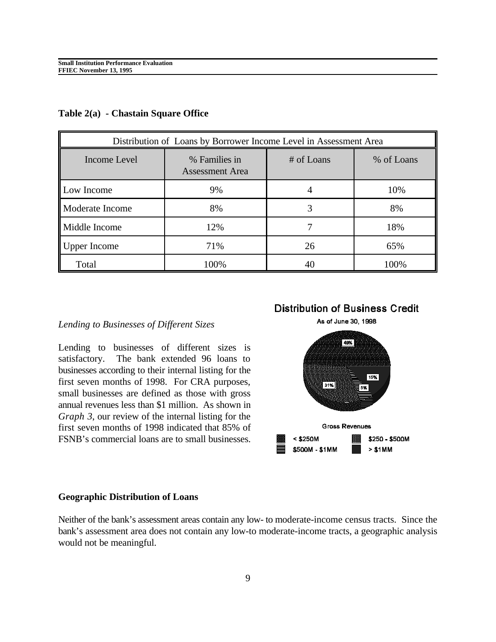| Distribution of Loans by Borrower Income Level in Assessment Area |                                         |            |            |
|-------------------------------------------------------------------|-----------------------------------------|------------|------------|
| Income Level                                                      | % Families in<br><b>Assessment Area</b> | # of Loans | % of Loans |
| Low Income                                                        | 9%                                      |            | 10%        |
| Moderate Income                                                   | 8%                                      | 3          | 8%         |
| Middle Income                                                     | 12%                                     |            | 18%        |
| <b>Upper Income</b>                                               | 71%                                     | 26         | 65%        |
| Total                                                             | 100%                                    | 40         | 100%       |

**Table 2(a) - Chastain Square Office**

#### *Lending to Businesses of Different Sizes*

Lending to businesses of different sizes is satisfactory. The bank extended 96 loans to businesses according to their internal listing for the first seven months of 1998. For CRA purposes, small businesses are defined as those with gross annual revenues less than \$1 million. As shown in *Graph 3*, our review of the internal listing for the first seven months of 1998 indicated that 85% of FSNB's commercial loans are to small businesses.

# **Distribution of Business Credit**



#### **Geographic Distribution of Loans**

Neither of the bank's assessment areas contain any low- to moderate-income census tracts. Since the bank's assessment area does not contain any low-to moderate-income tracts, a geographic analysis would not be meaningful.